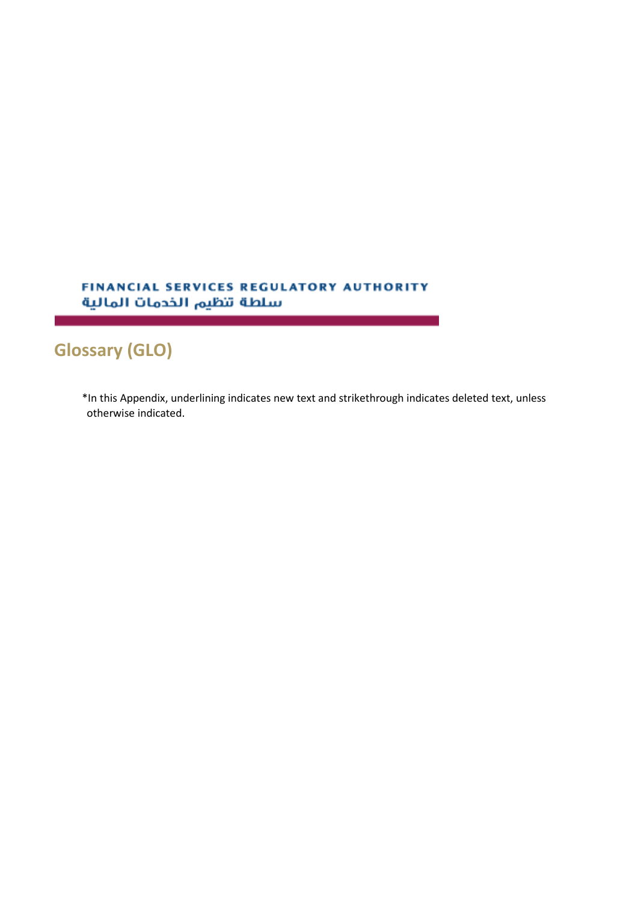## FINANCIAL SERVICES REGULATORY AUTHORITY سلطة تنظيم الخدمات المالية

## **Glossary (GLO)**

\*In this Appendix, underlining indicates new text and strikethrough indicates deleted text, unless otherwise indicated.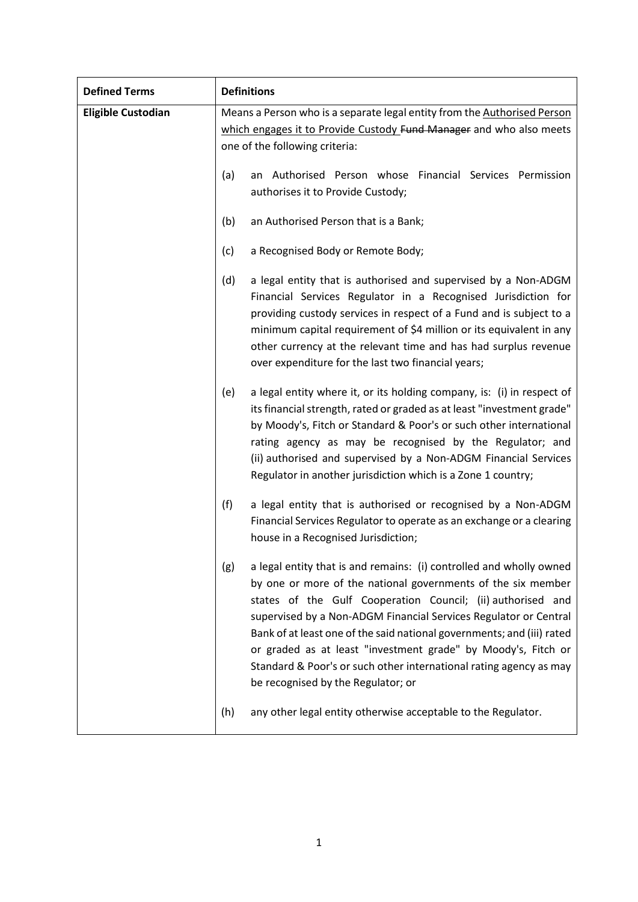| <b>Defined Terms</b>      | <b>Definitions</b>                                                                                                                                                                                                                                                                                                                                                                                                                                                                                                                   |
|---------------------------|--------------------------------------------------------------------------------------------------------------------------------------------------------------------------------------------------------------------------------------------------------------------------------------------------------------------------------------------------------------------------------------------------------------------------------------------------------------------------------------------------------------------------------------|
| <b>Eligible Custodian</b> | Means a Person who is a separate legal entity from the Authorised Person                                                                                                                                                                                                                                                                                                                                                                                                                                                             |
|                           | which engages it to Provide Custody Fund Manager and who also meets                                                                                                                                                                                                                                                                                                                                                                                                                                                                  |
|                           | one of the following criteria:                                                                                                                                                                                                                                                                                                                                                                                                                                                                                                       |
|                           | (a)<br>an Authorised Person whose Financial Services Permission                                                                                                                                                                                                                                                                                                                                                                                                                                                                      |
|                           | authorises it to Provide Custody;                                                                                                                                                                                                                                                                                                                                                                                                                                                                                                    |
|                           | (b)<br>an Authorised Person that is a Bank;                                                                                                                                                                                                                                                                                                                                                                                                                                                                                          |
|                           | (c)<br>a Recognised Body or Remote Body;                                                                                                                                                                                                                                                                                                                                                                                                                                                                                             |
|                           | (d)<br>a legal entity that is authorised and supervised by a Non-ADGM<br>Financial Services Regulator in a Recognised Jurisdiction for<br>providing custody services in respect of a Fund and is subject to a<br>minimum capital requirement of \$4 million or its equivalent in any<br>other currency at the relevant time and has had surplus revenue<br>over expenditure for the last two financial years;                                                                                                                        |
|                           | a legal entity where it, or its holding company, is: (i) in respect of<br>(e)<br>its financial strength, rated or graded as at least "investment grade"<br>by Moody's, Fitch or Standard & Poor's or such other international<br>rating agency as may be recognised by the Regulator; and<br>(ii) authorised and supervised by a Non-ADGM Financial Services<br>Regulator in another jurisdiction which is a Zone 1 country;                                                                                                         |
|                           | (f)<br>a legal entity that is authorised or recognised by a Non-ADGM<br>Financial Services Regulator to operate as an exchange or a clearing<br>house in a Recognised Jurisdiction;                                                                                                                                                                                                                                                                                                                                                  |
|                           | a legal entity that is and remains: (i) controlled and wholly owned<br>(g)<br>by one or more of the national governments of the six member<br>states of the Gulf Cooperation Council; (ii) authorised and<br>supervised by a Non-ADGM Financial Services Regulator or Central<br>Bank of at least one of the said national governments; and (iii) rated<br>or graded as at least "investment grade" by Moody's, Fitch or<br>Standard & Poor's or such other international rating agency as may<br>be recognised by the Regulator; or |
|                           | any other legal entity otherwise acceptable to the Regulator.<br>(h)                                                                                                                                                                                                                                                                                                                                                                                                                                                                 |